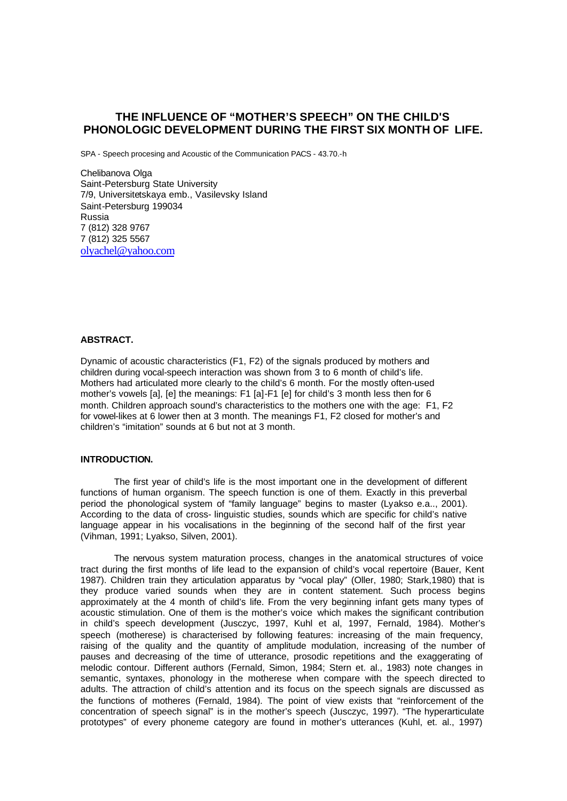# **THE INFLUENCE OF "MOTHER'S SPEECH" ON THE CHILD'S PHONOLOGIC DEVELOPMENT DURING THE FIRST SIX MONTH OF LIFE.**

SPA - Speech procesing and Acoustic of the Communication PACS - 43.70.-h

Chelibanova Olga Saint-Petersburg State University 7/9, Universitetskaya emb., Vasilevsky Island Saint-Petersburg 199034 Russia 7 (812) 328 9767 7 (812) 325 5567 olyachel@yahoo.com

# **ABSTRACT.**

Dynamic of acoustic characteristics (F1, F2) of the signals produced by mothers and children during vocal-speech interaction was shown from 3 to 6 month of child's life. Mothers had articulated more clearly to the child's 6 month. For the mostly often-used mother's vowels [a], [e] the meanings: F1 [a]-F1 [e] for child's 3 month less then for 6 month. Children approach sound's characteristics to the mothers one with the age: F1, F2 for vowel-likes at 6 lower then at 3 month. The meanings F1, F2 closed for mother's and children's "imitation" sounds at 6 but not at 3 month.

#### **INTRODUCTION.**

The first year of child's life is the most important one in the development of different functions of human organism. The speech function is one of them. Exactly in this preverbal period the phonological system of "family language" begins to master (Lyakso e.a.., 2001). According to the data of cross- linguistic studies, sounds which are specific for child's native language appear in his vocalisations in the beginning of the second half of the first year (Vihman, 1991; Lyakso, Silven, 2001).

The nervous system maturation process, changes in the anatomical structures of voice tract during the first months of life lead to the expansion of child's vocal repertoire (Bauer, Kent 1987). Children train they articulation apparatus by "vocal play" (Oller, 1980; Stark,1980) that is they produce varied sounds when they are in content statement. Such process begins approximately at the 4 month of child's life. From the very beginning infant gets many types of acoustic stimulation. One of them is the mother's voice which makes the significant contribution in child's speech development (Jusczyc, 1997, Kuhl et al, 1997, Fernald, 1984). Mother's speech (motherese) is characterised by following features: increasing of the main frequency, raising of the quality and the quantity of amplitude modulation, increasing of the number of pauses and decreasing of the time of utterance, prosodic repetitions and the exaggerating of melodic contour. Different authors (Fernald, Simon, 1984; Stern et. al., 1983) note changes in semantic, syntaxes, phonology in the motherese when compare with the speech directed to adults. The attraction of child's attention and its focus on the speech signals are discussed as the functions of motheres (Fernald, 1984). The point of view exists that "reinforcement of the concentration of speech signal" is in the mother's speech (Jusczyc, 1997). "The hyperarticulate prototypes" of every phoneme category are found in mother's utterances (Kuhl, et. al., 1997)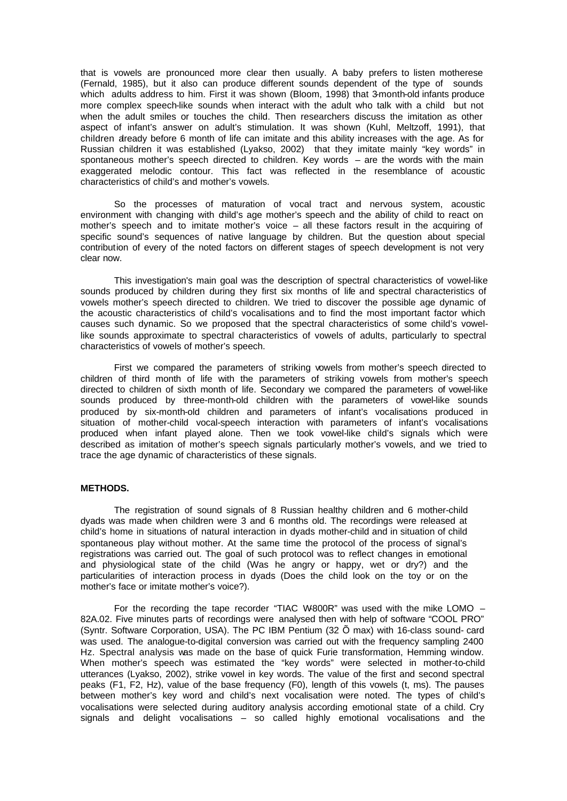that is vowels are pronounced more clear then usually. A baby prefers to listen motherese (Fernald, 1985), but it also can produce different sounds dependent of the type of sounds which adults address to him. First it was shown (Bloom, 1998) that 3-month-old infants produce more complex speech-like sounds when interact with the adult who talk with a child but not when the adult smiles or touches the child. Then researchers discuss the imitation as other aspect of infant's answer on adult's stimulation. It was shown (Kuhl, Meltzoff, 1991), that children already before 6 month of life can imitate and this ability increases with the age. As for Russian children it was established (Lyakso, 2002) that they imitate mainly "key words" in spontaneous mother's speech directed to children. Key words – are the words with the main exaggerated melodic contour. This fact was reflected in the resemblance of acoustic characteristics of child's and mother's vowels.

So the processes of maturation of vocal tract and nervous system, acoustic environment with changing with child's age mother's speech and the ability of child to react on mother's speech and to imitate mother's voice – all these factors result in the acquiring of specific sound's sequences of native language by children. But the question about special contribution of every of the noted factors on different stages of speech development is not very clear now.

This investigation's main goal was the description of spectral characteristics of vowel-like sounds produced by children during they first six months of life and spectral characteristics of vowels mother's speech directed to children. We tried to discover the possible age dynamic of the acoustic characteristics of child's vocalisations and to find the most important factor which causes such dynamic. So we proposed that the spectral characteristics of some child's vowellike sounds approximate to spectral characteristics of vowels of adults, particularly to spectral characteristics of vowels of mother's speech.

First we compared the parameters of striking vowels from mother's speech directed to children of third month of life with the parameters of striking vowels from mother's speech directed to children of sixth month of life. Secondary we compared the parameters of vowel-like sounds produced by three-month-old children with the parameters of vowel-like sounds produced by six-month-old children and parameters of infant's vocalisations produced in situation of mother-child vocal-speech interaction with parameters of infant's vocalisations produced when infant played alone. Then we took vowel-like child's signals which were described as imitation of mother's speech signals particularly mother's vowels, and we tried to trace the age dynamic of characteristics of these signals.

## **METHODS.**

The registration of sound signals of 8 Russian healthy children and 6 mother-child dyads was made when children were 3 and 6 months old. The recordings were released at child's home in situations of natural interaction in dyads mother-child and in situation of child spontaneous play without mother. At the same time the protocol of the process of signal's registrations was carried out. The goal of such protocol was to reflect changes in emotional and physiological state of the child (Was he angry or happy, wet or dry?) and the particularities of interaction process in dyads (Does the child look on the toy or on the mother's face or imitate mother's voice?).

For the recording the tape recorder "TIAC W-800R" was used with the mike LOMO -82A.02. Five minutes parts of recordings were analysed then with help of software "COOL PRO" (Syntr. Software Corporation, USA). The PC IBM Pentium (32 Õ max) with 16-class sound- card was used. The analogue-to-digital conversion was carried out with the frequency sampling 2400 Hz. Spectral analysis was made on the base of quick Furie transformation, Hemming window. When mother's speech was estimated the "key words" were selected in mother-to-child utterances (Lyakso, 2002), strike vowel in key words. The value of the first and second spectral peaks (F1, F2, Hz), value of the base frequency (F0), length of this vowels (t, ms). The pauses between mother's key word and child's next vocalisation were noted. The types of child's vocalisations were selected during auditory analysis according emotional state of a child. Cry signals and delight vocalisations – so called highly emotional vocalisations and the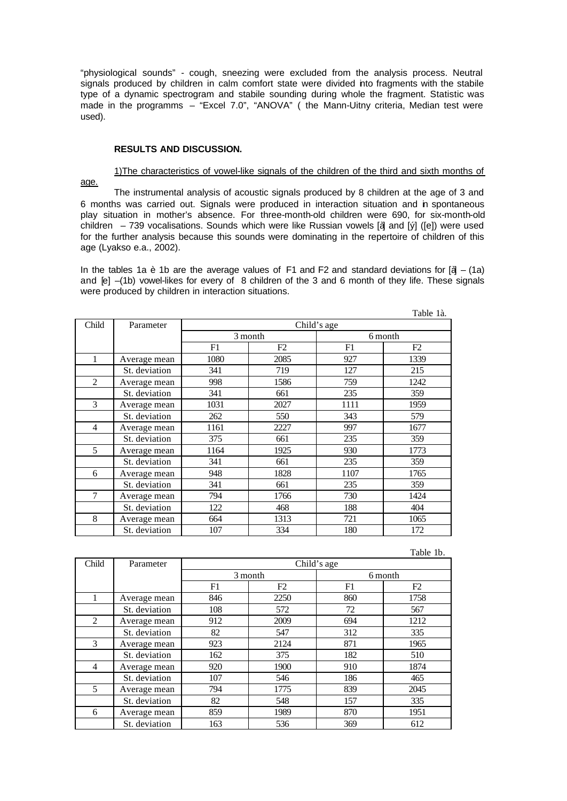"physiological sounds" - cough, sneezing were excluded from the analysis process. Neutral signals produced by children in calm comfort state were divided into fragments with the stabile type of a dynamic spectrogram and stabile sounding during whole the fragment. Statistic was made in the programms – "Excel 7.0", "ANOVA" ( the Mann-Uitny criteria, Median test were used).

#### **RESULTS AND DISCUSSION.**

## 1)The characteristics of vowel-like signals of the children of the third and sixth months of

age.

The instrumental analysis of acoustic signals produced by 8 children at the age of 3 and 6 months was carried out. Signals were produced in interaction situation and in spontaneous play situation in mother's absence. For three-month-old children were 690, for six-month-old children – 739 vocalisations. Sounds which were like Russian vowels [ $\ddot{a}$ ] and [ $\dot{y}$ ] ([e]) were used for the further analysis because this sounds were dominating in the repertoire of children of this age (Lyakso e.a., 2002).

In the tables 1a è 1b are the average values of F1 and F2 and standard deviations for  $\left[\mathbf{\ddot{a}} - (\mathbf{1a})\right]$ and [e] –(1b) vowel-likes for every of 8 children of the 3 and 6 month of they life. These signals were produced by children in interaction situations.

Table 13

|                |               |             |      |         | rabie ia. |  |
|----------------|---------------|-------------|------|---------|-----------|--|
| Child          | Parameter     | Child's age |      |         |           |  |
|                |               | 3 month     |      | 6 month |           |  |
|                |               | F1          | F2   | F1      | F2        |  |
| 1              | Average mean  | 1080        | 2085 | 927     | 1339      |  |
|                | St. deviation | 341         | 719  | 127     | 215       |  |
| 2              | Average mean  | 998         | 1586 | 759     | 1242      |  |
|                | St. deviation | 341         | 661  | 235     | 359       |  |
| 3              | Average mean  | 1031        | 2027 | 1111    | 1959      |  |
|                | St. deviation | 262         | 550  | 343     | 579       |  |
| $\overline{4}$ | Average mean  | 1161        | 2227 | 997     | 1677      |  |
|                | St. deviation | 375         | 661  | 235     | 359       |  |
| 5              | Average mean  | 1164        | 1925 | 930     | 1773      |  |
|                | St. deviation | 341         | 661  | 235     | 359       |  |
| 6              | Average mean  | 948         | 1828 | 1107    | 1765      |  |
|                | St. deviation | 341         | 661  | 235     | 359       |  |
| 7              | Average mean  | 794         | 1766 | 730     | 1424      |  |
|                | St. deviation | 122         | 468  | 188     | 404       |  |
| 8              | Average mean  | 664         | 1313 | 721     | 1065      |  |
|                | St. deviation | 107         | 334  | 180     | 172       |  |

|                |               |             |      |         | Table 1b. |  |
|----------------|---------------|-------------|------|---------|-----------|--|
| Child          | Parameter     | Child's age |      |         |           |  |
|                |               | 3 month     |      | 6 month |           |  |
|                |               | F1          | F2   | F1      | F2        |  |
|                | Average mean  | 846         | 2250 | 860     | 1758      |  |
|                | St. deviation | 108         | 572  | 72      | 567       |  |
| $\mathfrak{D}$ | Average mean  | 912         | 2009 | 694     | 1212      |  |
|                | St. deviation | 82          | 547  | 312     | 335       |  |
| 3              | Average mean  | 923         | 2124 | 871     | 1965      |  |
|                | St. deviation | 162         | 375  | 182     | 510       |  |
| 4              | Average mean  | 920         | 1900 | 910     | 1874      |  |
|                | St. deviation | 107         | 546  | 186     | 465       |  |
| $\mathcal{L}$  | Average mean  | 794         | 1775 | 839     | 2045      |  |
|                | St. deviation | 82          | 548  | 157     | 335       |  |
| 6              | Average mean  | 859         | 1989 | 870     | 1951      |  |
|                | St. deviation | 163         | 536  | 369     | 612       |  |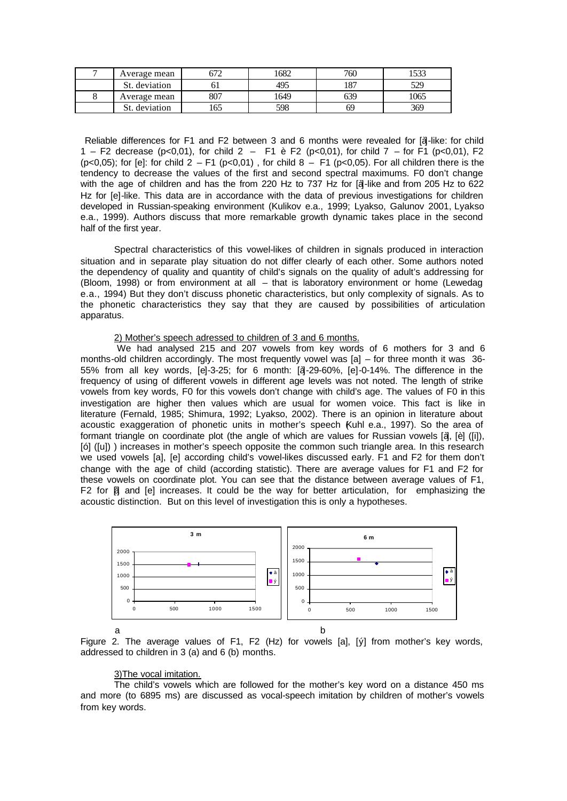| Average mean     | הרי<br>ے ر | 1682 | 760        | EO0  |
|------------------|------------|------|------------|------|
| St.<br>deviation |            | 495  | 107<br>10. | 529  |
| Average mean     | 807        | 1649 |            | 1065 |
| deviation        | 165        | 598  | ხ          | 369  |

Reliable differences for F1 and F2 between 3 and 6 months were revealed for [a]-like: for child 1 – F2 decrease (p<0,01), for child 2 – F1 è F2 (p<0,01), for child 7 – for F1 (p<0,01), F2 (p<0,05); for [e]: for child  $2 - F1$  (p<0,01), for child  $8 - F1$  (p<0,05). For all children there is the tendency to decrease the values of the first and second spectral maximums. F0 don't change with the age of children and has the from 220 Hz to 737 Hz for [à]-like and from 205 Hz to 622 Hz for [e]-like. This data are in accordance with the data of previous investigations for children developed in Russian-speaking environment (Kulikov e.a., 1999; Lyakso, Galunov 2001, Lyakso e.a., 1999). Authors discuss that more remarkable growth dynamic takes place in the second half of the first year.

Spectral characteristics of this vowel-likes of children in signals produced in interaction situation and in separate play situation do not differ clearly of each other. Some authors noted the dependency of quality and quantity of child's signals on the quality of adult's addressing for (Bloom, 1998) or from environment at all – that is laboratory environment or home (Lewedag e.a., 1994) But they don't discuss phonetic characteristics, but only complexity of signals. As to the phonetic characteristics they say that they are caused by possibilities of articulation apparatus.

## 2) Mother's speech adressed to children of 3 and 6 months.

 We had analysed 215 and 207 vowels from key words of 6 mothers for 3 and 6 months-old children accordingly. The most frequently vowel was [a] – for three month it was 36- 55% from all key words, [e]-3-25; for 6 month: [à]-29-60%, [e]-0-14%. The difference in the frequency of using of different vowels in different age levels was not noted. The length of strike vowels from key words, F0 for this vowels don't change with child's age. The values of F0 in this investigation are higher then values which are usual for women voice. This fact is like in literature (Fernald, 1985; Shimura, 1992; Lyakso, 2002). There is an opinion in literature about acoustic exaggeration of phonetic units in mother's speech (Kuhl e.a., 1997). So the area of formant triangle on coordinate plot (the angle of which are values for Russian vowels [à], [è] ([i]), [ó] ([u]) ) increases in mother's speech opposite the common such triangle area. In this research we used vowels [a], [e] according child's vowel-likes discussed early. F1 and F2 for them don't change with the age of child (according statistic). There are average values for F1 and F2 for these vowels on coordinate plot. You can see that the distance between average values of F1, F2 for  $\beta$  and [e] increases. It could be the way for better articulation, for emphasizing the acoustic distinction. But on this level of investigation this is only a hypotheses.



Figure 2. The average values of F1, F2 (Hz) for vowels [a], [y] from mother's key words, addressed to children in 3 (a) and 6 (b) months.

#### 3)The vocal imitation.

The child's vowels which are followed for the mother's key word on a distance 450 ms and more (to 6895 ms) are discussed as vocal-speech imitation by children of mother's vowels from key words.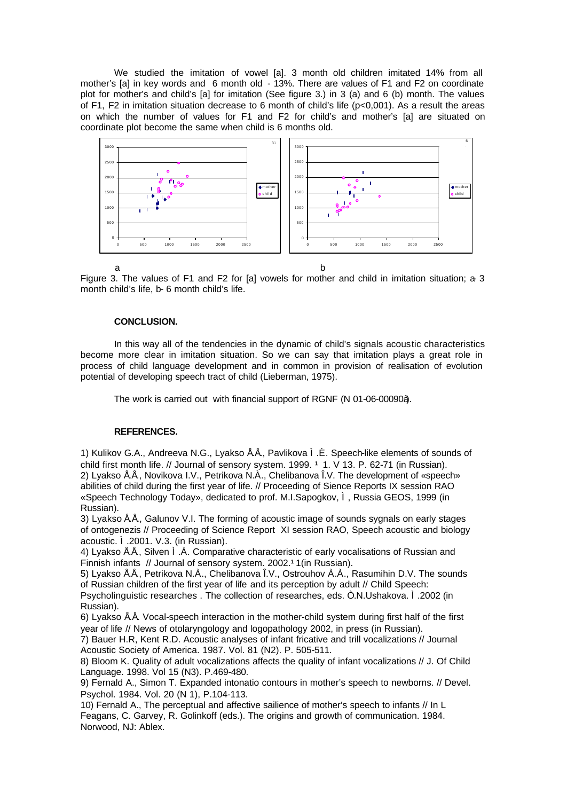We studied the imitation of vowel [a]. 3 month old children imitated 14% from all mother's [a] in key words and 6 month old - 13%. There are values of F1 and F2 on coordinate plot for mother's and child's [a] for imitation (See figure 3.) in 3 (a) and 6 (b) month. The values of F1, F2 in imitation situation decrease to 6 month of child's life (p<0,001). As a result the areas on which the number of values for F1 and F2 for child's and mother's [a] are situated on coordinate plot become the same when child is 6 months old.



Figure 3. The values of F1 and F2 for [a] vowels for mother and child in imitation situation; a-3 month child's life, b- 6 month child's life.

## **CONCLUSION.**

In this way all of the tendencies in the dynamic of child's signals acoustic characteristics become more clear in imitation situation. So we can say that imitation plays a great role in process of child language development and in common in provision of realisation of evolution potential of developing speech tract of child (Lieberman, 1975).

The work is carried out with financial support of RGNF (N 01-06-00090à).

#### **REFERENCES.**

1) Kulikov G.A., Andreeva N.G., Lyakso Å.Å., Pavlikova Ì.È. Speech-like elements of sounds of child first month life. // Journal of sensory system. 1999. <sup>1</sup> 1. V 13. P. 62-71 (in Russian). 2) Lyakso Å.Å., Novikova I.V., Petrikova N.À., Chelibanova Î.V. The development of «speech» abilities of child during the first year of life. // Proceeding of Sience Reports IX session RAO «Speech Technology Today», dedicated to prof. M.I.Sapogkov, Ì, Russia GEOS, 1999 (in Russian).

3) Lyakso Å.Å., Galunov V.I. The forming of acoustic image of sounds sygnals on early stages of ontogenezis // Proceeding of Science Report XI session RAO, Speech acoustic and biology acoustic. Ì.2001. V.3. (in Russian).

4) Lyakso  $\AA$ Å, Silven  $\AA$ . Comparative characteristic of early vocalisations of Russian and Finnish infants // Journal of sensory system. 2002.<sup>1</sup> 1(in Russian).

5) Lyakso Å.Å., Petrikova N.À., Chelibanova Î.V., Ostrouhov À.À., Rasumihin D.V. The sounds of Russian children of the first year of life and its perception by adult // Child Speech:

Psycholinguistic researches . The collection of researches, eds. Ò.N.Ushakova. Ì.2002 (in Russian).

6) Lyakso Å.Å. Vocal-speech interaction in the mother-child system during first half of the first year of life // News of otolaryngology and logopathology 2002, in press (in Russian).

7) Bauer H.R, Kent R.D. Acoustic analyses of infant fricative and trill vocalizations // Journal Acoustic Society of America. 1987. Vol. 81 (N2). P. 505-511.

8) Bloom K. Quality of adult vocalizations affects the quality of infant vocalizations // J. Of Child Language. 1998. Vol 15 (N3). P.469-480.

9) Fernald A., Simon T. Expanded intonatio contours in mother's speech to newborns. // Devel. Psychol. 1984. Vol. 20 (N 1), P.104-113.

10) Fernald A., The perceptual and affective sailience of mother's speech to infants // In L Feagans, C. Garvey, R. Golinkoff (eds.). The origins and growth of communication. 1984. Norwood, NJ: Ablex.